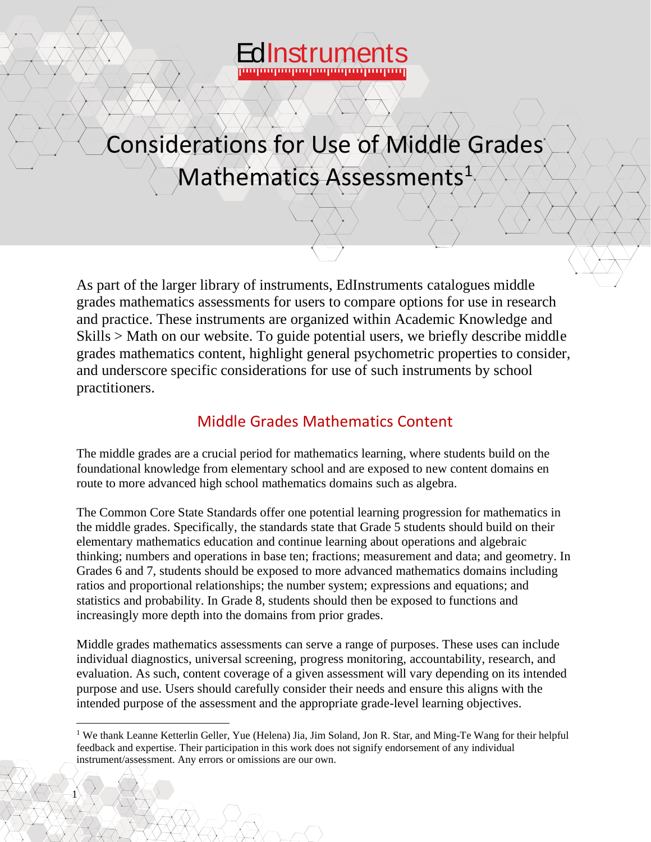

# Considerations for Use of Middle Grades Mathematics Assessments<sup>1</sup>

As part of the larger library of instruments, EdInstruments catalogues middle grades mathematics assessments for users to compare options for use in research and practice. These instruments are organized within Academic Knowledge and Skills > Math on our website. To guide potential users, we briefly describe middle grades mathematics content, highlight general psychometric properties to consider, and underscore specific considerations for use of such instruments by school practitioners.

# Middle Grades Mathematics Content

The middle grades are a crucial period for mathematics learning, where students build on the foundational knowledge from elementary school and are exposed to new content domains en route to more advanced high school mathematics domains such as algebra.

The Common Core State Standards offer one potential learning progression for mathematics in the middle grades. Specifically, the standards state that Grade 5 students should build on their elementary mathematics education and continue learning about operations and algebraic thinking; numbers and operations in base ten; fractions; measurement and data; and geometry. In Grades 6 and 7, students should be exposed to more advanced mathematics domains including ratios and proportional relationships; the number system; expressions and equations; and statistics and probability. In Grade 8, students should then be exposed to functions and increasingly more depth into the domains from prior grades.

Middle grades mathematics assessments can serve a range of purposes. These uses can include individual diagnostics, universal screening, progress monitoring, accountability, research, and evaluation. As such, content coverage of a given assessment will vary depending on its intended purpose and use. Users should carefully consider their needs and ensure this aligns with the intended purpose of the assessment and the appropriate grade-level learning objectives.

1

<sup>&</sup>lt;sup>1</sup> We thank Leanne Ketterlin Geller, Yue (Helena) Jia, Jim Soland, Jon R. Star, and Ming-Te Wang for their helpful feedback and expertise. Their participation in this work does not signify endorsement of any individual instrument/assessment. Any errors or omissions are our own.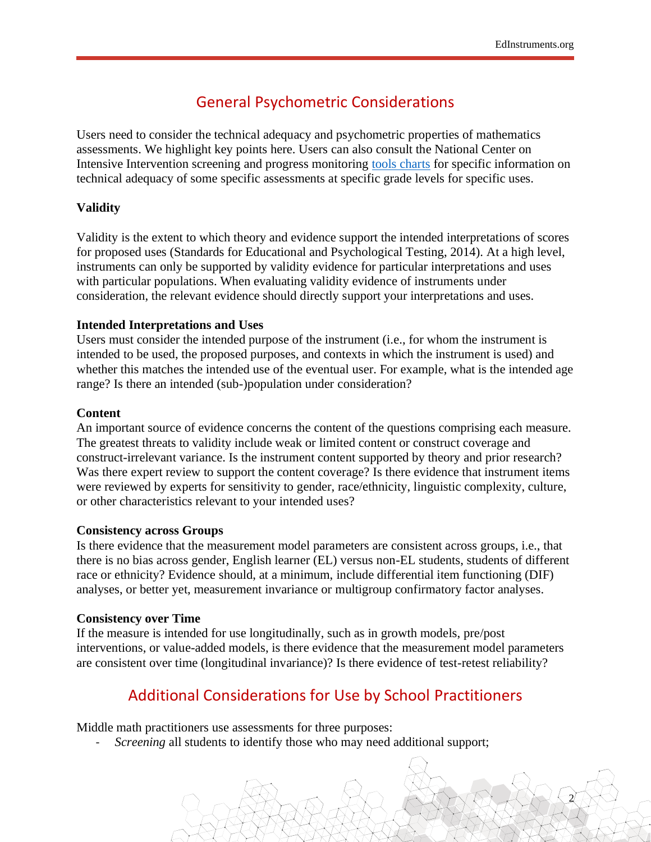2

# General Psychometric Considerations

Users need to consider the technical adequacy and psychometric properties of mathematics assessments. We highlight key points here. Users can also consult the National Center on Intensive Intervention screening and progress monitoring [tools charts](https://intensiveintervention.org/tools-charts/identifying-assessments) for specific information on technical adequacy of some specific assessments at specific grade levels for specific uses.

## **Validity**

Validity is the extent to which theory and evidence support the intended interpretations of scores for proposed uses (Standards for Educational and Psychological Testing, 2014). At a high level, instruments can only be supported by validity evidence for particular interpretations and uses with particular populations. When evaluating validity evidence of instruments under consideration, the relevant evidence should directly support your interpretations and uses.

#### **Intended Interpretations and Uses**

Users must consider the intended purpose of the instrument (i.e., for whom the instrument is intended to be used, the proposed purposes, and contexts in which the instrument is used) and whether this matches the intended use of the eventual user. For example, what is the intended age range? Is there an intended (sub-)population under consideration?

### **Content**

An important source of evidence concerns the content of the questions comprising each measure. The greatest threats to validity include weak or limited content or construct coverage and construct-irrelevant variance. Is the instrument content supported by theory and prior research? Was there expert review to support the content coverage? Is there evidence that instrument items were reviewed by experts for sensitivity to gender, race/ethnicity, linguistic complexity, culture, or other characteristics relevant to your intended uses?

#### **Consistency across Groups**

Is there evidence that the measurement model parameters are consistent across groups, i.e., that there is no bias across gender, English learner (EL) versus non-EL students, students of different race or ethnicity? Evidence should, at a minimum, include differential item functioning (DIF) analyses, or better yet, measurement invariance or multigroup confirmatory factor analyses.

#### **Consistency over Time**

If the measure is intended for use longitudinally, such as in growth models, pre/post interventions, or value-added models, is there evidence that the measurement model parameters are consistent over time (longitudinal invariance)? Is there evidence of test-retest reliability?

# Additional Considerations for Use by School Practitioners

Middle math practitioners use assessments for three purposes:

*Screening* all students to identify those who may need additional support;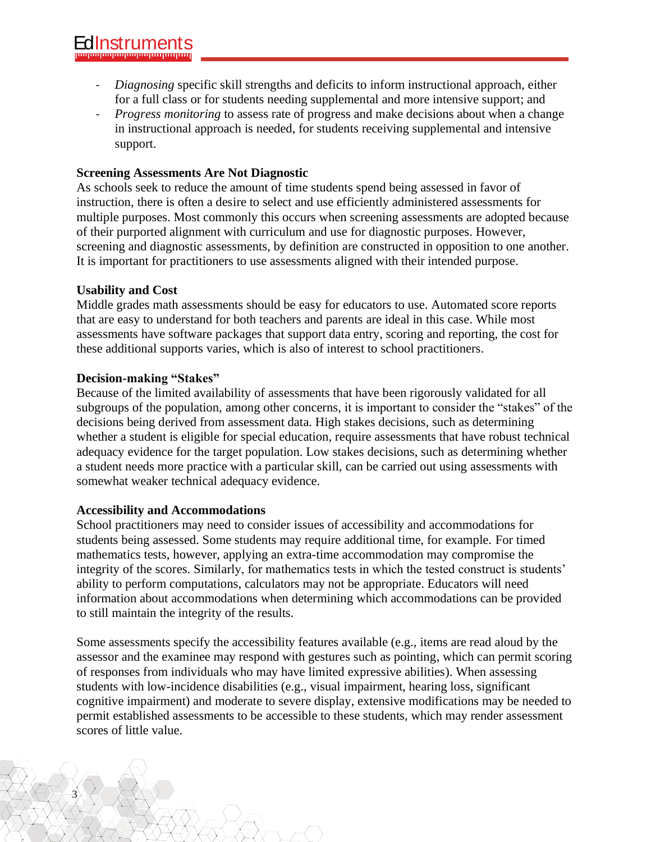- *Diagnosing* specific skill strengths and deficits to inform instructional approach, either for a full class or for students needing supplemental and more intensive support; and
- *Progress monitoring* to assess rate of progress and make decisions about when a change in instructional approach is needed, for students receiving supplemental and intensive support.

# **Screening Assessments Are Not Diagnostic**

As schools seek to reduce the amount of time students spend being assessed in favor of instruction, there is often a desire to select and use efficiently administered assessments for multiple purposes. Most commonly this occurs when screening assessments are adopted because of their purported alignment with curriculum and use for diagnostic purposes. However, screening and diagnostic assessments, by definition are constructed in opposition to one another. It is important for practitioners to use assessments aligned with their intended purpose.

## **Usability and Cost**

Middle grades math assessments should be easy for educators to use. Automated score reports that are easy to understand for both teachers and parents are ideal in this case. While most assessments have software packages that support data entry, scoring and reporting, the cost for these additional supports varies, which is also of interest to school practitioners.

## **Decision-making "Stakes"**

Because of the limited availability of assessments that have been rigorously validated for all subgroups of the population, among other concerns, it is important to consider the "stakes" of the decisions being derived from assessment data. High stakes decisions, such as determining whether a student is eligible for special education, require assessments that have robust technical adequacy evidence for the target population. Low stakes decisions, such as determining whether a student needs more practice with a particular skill, can be carried out using assessments with somewhat weaker technical adequacy evidence.

## **Accessibility and Accommodations**

3

School practitioners may need to consider issues of accessibility and accommodations for students being assessed. Some students may require additional time, for example. For timed mathematics tests, however, applying an extra-time accommodation may compromise the integrity of the scores. Similarly, for mathematics tests in which the tested construct is students' ability to perform computations, calculators may not be appropriate. Educators will need information about accommodations when determining which accommodations can be provided to still maintain the integrity of the results.

Some assessments specify the accessibility features available (e.g., items are read aloud by the assessor and the examinee may respond with gestures such as pointing, which can permit scoring of responses from individuals who may have limited expressive abilities). When assessing students with low-incidence disabilities (e.g., visual impairment, hearing loss, significant cognitive impairment) and moderate to severe display, extensive modifications may be needed to permit established assessments to be accessible to these students, which may render assessment scores of little value.